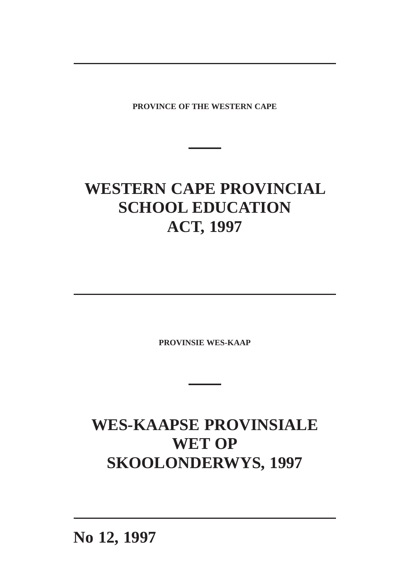**PROVINCE OF THE WESTERN CAPE**

# **WESTERN CAPE PROVINCIAL SCHOOL EDUCATION ACT, 1997**

**PROVINSIE WES-KAAP**

## **WES-KAAPSE PROVINSIALE WET OP SKOOLONDERWYS, 1997**

**No 12, 1997**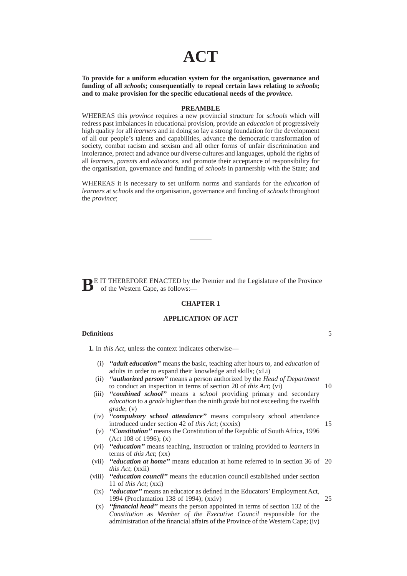## **ACT**

**To provide for a uniform education system for the organisation, governance and funding of all** *schools***; consequentially to repeal certain laws relating to** *schools***; and to make provision for the specific educational needs of the** *province***.**

### **PREAMBLE**

WHEREAS this *province* requires a new provincial structure for *schools* which will redress past imbalances in educational provision, provide an *education* of progressively high quality for all *learners* and in doing so lay a strong foundation for the development of all our people's talents and capabilities, advance the democratic transformation of society, combat racism and sexism and all other forms of unfair discrimination and intolerance, protect and advance our diverse cultures and languages, uphold the rights of all *learners, parents* and *educators,* and promote their acceptance of responsibility for the organisation, governance and funding of *schools* in partnership with the State; and

WHEREAS it is necessary to set uniform norms and standards for the *education* of *learners* at *schools* and the organisation, governance and funding of *schools* throughout the *province*;

**BE** IT THEREFORE ENACTED by the Premier and the Legislature of the Province of the Western Cape, as follows:—

### **CHAPTER 1**

#### **APPLICATION OF ACT**

#### **Definitions**

**1.** In *this Act*, unless the context indicates otherwise—

- (i) *''adult education''* means the basic, teaching after hours to, and *education* of adults in order to expand their knowledge and skills; (xLi)
- (ii) *''authorized person''* means a person authorized by the *Head of Department* to conduct an inspection in terms of section 20 of *this Act*; (vi)
- (iii) *''combined school''* means a *school* providing primary and secondary *education* to a *grade* higher than the ninth *grade* but not exceeding the twelfth *grade*; (v)
- (iv) *''compulsory school attendance''* means compulsory school attendance introduced under section 42 of *this Act*; (xxxix)
- (v) *''Constitution''* means the Constitution of the Republic of South Africa, 1996 (Act 108 of 1996); (x)
- (vi) *''education''* means teaching, instruction or training provided to *learners* in terms of *this Act*; (xx)
- (vii) *''education at home''* means education at home referred to in section 36 of 20 *this Act*; (xxii)
- (viii) *''education council''* means the education council established under section 11 of *this Act*; (xxi)
- (ix) *''educator''* means an educator as defined in the Educators' Employment Act, 1994 (Proclamation 138 of 1994); (xxiv) 25
- (x) *''financial head''* means the person appointed in terms of section 132 of the *Constitution* as *Member of the Executive Council* responsible for the administration of the financial affairs of the Province of the Western Cape; (iv)

5

10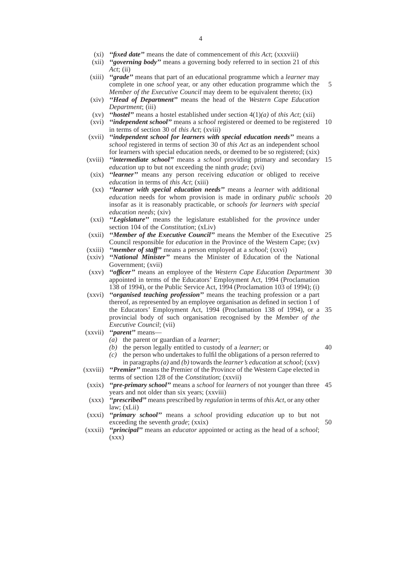- (xi) *''fixed date''* means the date of commencement of *this Act*; (xxxviii)
- (xii) *''governing body''* means a governing body referred to in section 21 of *this Act*; (ii)
- (xiii) *''grade''* means that part of an educational programme which a *learner* may complete in one *school* year, or any other education programme which the *Member of the Executive Council* may deem to be equivalent thereto; (ix) 5
- (xiv) *''Head of Department''* means the head of the *Western Cape Education Department*; (iii)
- (xv) *''hostel''* means a hostel established under section 4(1)*(a)* of *this Act*; (xii)
- (xvi) *''independent school''* means a *school* registered or deemed to be registered 10 in terms of section 30 of *this Act*; (xviii)
- (xvii) *''independent school for learners with special education needs''* means a *school* registered in terms of section 30 of *this Act* as an independent school for learners with special education needs, or deemed to be so registered; (xix)
- (xviii) *''intermediate school''* means a *school* providing primary and secondary 15 *education* up to but not exceeding the ninth *grade*; (xvi)
- (xix) *''learner''* means any person receiving *education* or obliged to receive *education* in terms of *this Act*; (xiii)
- (xx) *''learner with special education needs''* means a *learner* with additional *education* needs for whom provision is made in ordinary *public schools* 20 insofar as it is reasonably practicable, or *schools for learners with special education needs*; (xiv)
- (xxi) *''Legislature''* means the legislature established for the *province* under section 104 of the *Constitution*; (xLiv)
- (xxii) *''Member of the Executive Council''* means the Member of the Executive 25 Council responsible for *education* in the Province of the Western Cape; (xv) (xxiii) *''member of staff''* means a person employed at a *school*; (xxvi)
- (xxiv) *''National Minister''* means the Minister of Education of the National Government; (xvii)
- (xxv) *''officer''* means an employee of the *Western Cape Education Department* 30 appointed in terms of the Educators' Employment Act, 1994 (Proclamation 138 of 1994), or the Public Service Act, 1994 (Proclamation 103 of 1994); (i)
- (xxvi) *''organised teaching profession''* means the teaching profession or a part thereof, as represented by an employee organisation as defined in section 1 of the Educators' Employment Act, 1994 (Proclamation 138 of 1994), or a 35 provincial body of such organisation recognised by the *Member of the Executive Council*; (vii)
- (xxvii) *''parent''* means—
	- *(a)* the parent or guardian of a *learner*;
	- *(b)* the person legally entitled to custody of a *learner*; or

40

- *(c)* the person who undertakes to fulfil the obligations of a person referred to
- in paragraphs *(a)* and *(b)* towards the *learner's education* at *school*; (xxv) (xxviii) *''Premier''* means the Premier of the Province of the Western Cape elected in terms of section 128 of the *Constitution*; (xxvii)
- (xxix) *''pre-primary school''* means a *school* for *learners* of not younger than three 45 years and not older than six years; (xxviii)
- (xxx) *''prescribed''* means prescribed by *regulation* in terms of *this Act*, or any other law; (xLii)
- (xxxi) *''primary school''* means a *school* providing *education* up to but not exceeding the seventh *grade*; (xxix)
- (xxxii) *''principal''* means an *educator* appointed or acting as the head of a *school*;  $(xxx)$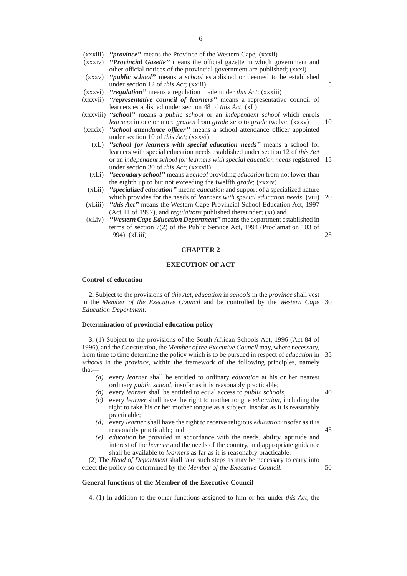- (xxxiii) *''province''* means the Province of the Western Cape; (xxxii)
- (xxxiv) *''Provincial Gazette''* means the official gazette in which government and other official notices of the provincial government are published; (xxxi)
- (xxxv) *''public school''* means a *school* established or deemed to be established under section 12 of *this Act*; (xxiii)
- (xxxvi) *''regulation''* means a regulation made under *this Act*; (xxxiii)
- (xxxvii) *''representative council of learners''* means a representative council of learners established under section 48 of *this Act*; (xL)
- (xxxviii) *''school''* means a *public school* or an *independent school* which enrols *learners* in one or more *grades* from *grade* zero to *grade* twelve; (xxxv)
- (xxxix) *''school attendance officer''* means a school attendance officer appointed under section 10 of *this Act*; (xxxvi)
	- (xL) *''school for learners with special education needs''* means a school for learners with special education needs established under section 12 of *this Act* or an *independent school for learners with special education needs* registered 15 under section 30 of *this Act*; (xxxvii)
	- (xLi) *''secondary school''* means a *school* providing *education* from not lower than the eighth up to but not exceeding the twelfth *grade*; (xxxiv)
- (xLii) *''specialized education''* means *education* and support of a specialized nature which provides for the needs of *learners with special education needs*; (viii) 20
- (xLiii) *''this Act''* means the Western Cape Provincial School Education Act, 1997 (Act 11 of 1997), and *regulations* published thereunder; (xi) and
- (xLiv) *''Western Cape Education Department''* means the department established in terms of section 7(2) of the Public Service Act, 1994 (Proclamation 103 of 1994). (xLiii) 25

#### **CHAPTER 2**

#### **EXECUTION OF ACT**

#### **Control of education**

**2.** Subject to the provisions of *this Act, education* in *schools* in the *province* shall vest in the *Member of the Executive Council* and be controlled by the *Western Cape* 30 *Education Department*.

#### **Determination of provincial education policy**

**3.** (1) Subject to the provisions of the South African Schools Act, 1996 (Act 84 of 1996), and the *Constitution,* the *Member of the Executive Council* may, where necessary, from time to time determine the policy which is to be pursued in respect of *education* in 35 *schools* in the *province*, within the framework of the following principles, namely that—

- *(a)* every *learner* shall be entitled to ordinary *education* at his or her nearest ordinary *public school*, insofar as it is reasonably practicable;
- *(b)* every *learner* shall be entitled to equal access to *public schools*;
- *(c)* every *learner* shall have the right to mother tongue *education*, including the right to take his or her mother tongue as a subject, insofar as it is reasonably practicable;
- *(d)* every *learner* shall have the right to receive religious *education* insofar as it is reasonably practicable; and 45
- *(e) education* be provided in accordance with the needs, ability, aptitude and interest of the *learner* and the needs of the country, and appropriate guidance shall be available to *learners* as far as it is reasonably practicable.

(2) The *Head of Department* shall take such steps as may be necessary to carry into effect the policy so determined by the *Member of the Executive Council.* 50

#### **General functions of the Member of the Executive Council**

**4.** (1) In addition to the other functions assigned to him or her under *this Act*, the

40

5

- 
-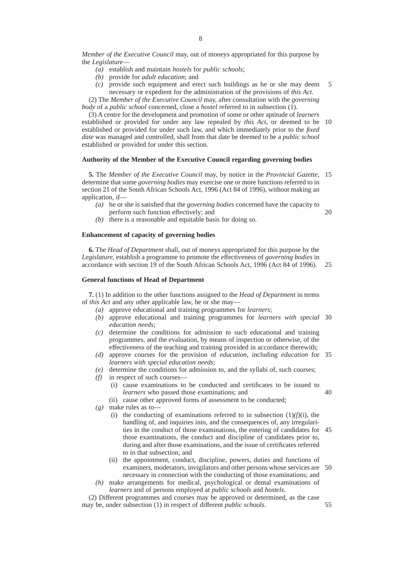- *(a)* establish and maintain *hostels* for *public schools*;
- *(b)* provide for *adult education*; and
- *(c)* provide such equipment and erect such buildings as he or she may deem necessary or expedient for the administration of the provisions of *this Act*. 5

(2) The *Member of the Executive Council* may, after consultation with the *governing body* of a *public school* concerned, close a *hostel* referred to in subsection (1).

(3) A centre for the development and promotion of some or other aptitude of *learners* established or provided for under any law repealed by *this Act*, or deemed to be 10 established or provided for under such law, and which immediately prior to the *fixed date* was managed and controlled, shall from that date be deemed to be a *public school* established or provided for under this section.

#### **Authority of the Member of the Executive Council regarding governing bodies**

**5.** The *Member of the Executive Council* may, by notice in the *Provincial Gazette*, 15 determine that some *governing bodies* may exercise one or more functions referred to in section 21 of the South African Schools Act, 1996 (Act 84 of 1996), without making an application, if—

- *(a)* he or she is satisfied that the *governing bodies* concerned have the capacity to perform such function effectively; and 20
- *(b)* there is a reasonable and equitable basis for doing so.

#### **Enhancement of capacity of governing bodies**

**6.** The *Head of Department* shall, out of moneys appropriated for this purpose by the *Legislature*, establish a programme to promote the effectiveness of *governing bodies* in accordance with section 19 of the South African Schools Act, 1996 (Act 84 of 1996). 25

## **General functions of Head of Department**

**7.** (1) In addition to the other functions assigned to the *Head of Department* in terms of *this Act* and any other applicable law, he or she may—

- *(a)* approve educational and training programmes for *learners*;
- *(b)* approve educational and training programmes for *learners with special* 30 *education needs*;
- *(c)* determine the conditions for admission to such educational and training programmes, and the evaluation, by means of inspection or otherwise, of the effectiveness of the teaching and training provided in accordance therewith;
- *(d)* approve courses for the provision of *education*, including *education* for 35 *learners with special education needs*;
- *(e)* determine the conditions for admission to, and the syllabi of, such courses;
- *(f)* in respect of such courses—
	- (i) cause examinations to be conducted and certificates to be issued to *learners* who passed those examinations; and 40
	- (ii) cause other approved forms of assessment to be conducted;
- *(g)* make rules as to—
	- (i) the conducting of examinations referred to in subsection  $(1)(f)(i)$ , the handling of, and inquiries into, and the consequences of, any irregularities in the conduct of those examinations, the entering of candidates for 45 those examinations, the conduct and discipline of candidates prior to, during and after those examinations, and the issue of certificates referred to in that subsection; and
	- (ii) the appointment, conduct, discipline, powers, duties and functions of examiners, moderators, invigilators and other persons whose services are necessary in connection with the conducting of those examinations; and 50
- *(h)* make arrangements for medical, psychological or dental examinations of *learners* and of persons employed at *public schools* and *hostels*.

(2) Different programmes and courses may be approved or determined, as the case may be, under subsection (1) in respect of different *public schools*. 55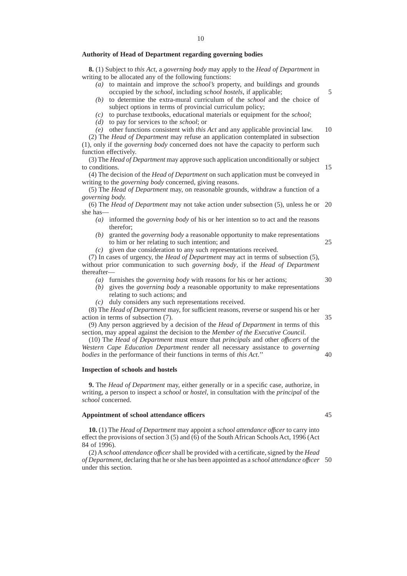**8.** (1) Subject to *this Act*, a *governing body* may apply to the *Head of Department* in writing to be allocated any of the following functions:

- *(a)* to maintain and improve the *school's* property, and buildings and grounds occupied by the *school*, including *school hostels*, if applicable;
- *(b)* to determine the extra-mural curriculum of the *school* and the choice of subject options in terms of provincial curriculum policy;
- *(c)* to purchase textbooks, educational materials or equipment for the *school*;

*(d)* to pay for services to the *school*; or

*(e)* other functions consistent with *this Act* and any applicable provincial law. (2) The *Head of Department* may refuse an application contemplated in subsection (1), only if the *governing body* concerned does not have the capacity to perform such 10

function effectively.

(3) The *Head of Department* may approve such application unconditionally or subject to conditions. 15

(4) The decision of the *Head of Department* on such application must be conveyed in writing to the *governing body* concerned, giving reasons.

(5) The *Head of Department* may, on reasonable grounds, withdraw a function of a *governing body.*

(6) The *Head of Department* may not take action under subsection (5), unless he or 20 she has—

- *(a)* informed the *governing body* of his or her intention so to act and the reasons therefor;
- *(b)* granted the *governing body* a reasonable opportunity to make representations to him or her relating to such intention; and
- *(c)* given due consideration to any such representations received.

(7) In cases of urgency, the *Head of Department* may act in terms of subsection (5), without prior communication to such *governing body*, if the *Head of Department* thereafter—

- *(a)* furnishes the *governing body* with reasons for his or her actions;
- *(b)* gives the *governing body* a reasonable opportunity to make representations relating to such actions; and
- *(c)* duly considers any such representations received.

(8) The *Head of Department* may, for sufficient reasons, reverse or suspend his or her action in terms of subsection (7).

(9) Any person aggrieved by a decision of the *Head of Department* in terms of this section, may appeal against the decision to the *Member of the Executive Council*.

(10) The *Head of Department* must ensure that *principals* and other *offıcers* of the *Western Cape Education Department* render all necessary assistance to *governing bodies* in the performance of their functions in terms of *this Act*.''

#### **Inspection of schools and hostels**

**9.** The *Head of Department* may, either generally or in a specific case, authorize, in writing, a person to inspect a *school* or *hostel*, in consultation with the *principal* of the *school* concerned.

#### **Appointment of school attendance officers**

**10.** (1) The *Head of Department* may appoint a *school attendance offıcer* to carry into effect the provisions of section 3 (5) and (6) of the South African Schools Act, 1996 (Act 84 of 1996).

(2) A*school attendance offıcer*shall be provided with a certificate, signed by the *Head of Department*, declaring that he or she has been appointed as a *school attendance offıcer* 50under this section.

30

35

25

5

45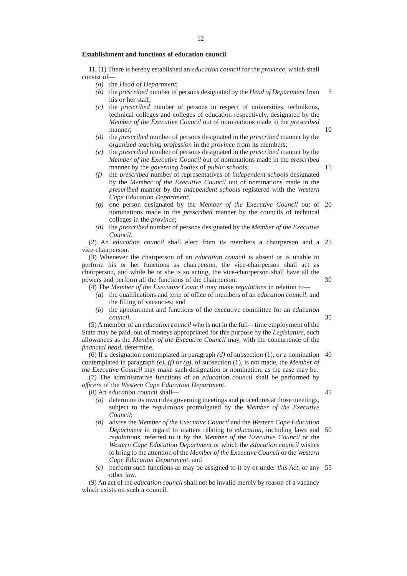#### **Establishment and functions of education council**

**11.** (1) There is hereby established an *education council* for the *province*, which shall consist of—

- *(a)* the *Head of Department*;
- *(b)* the *prescribed* number of persons designated by the *Head of Department* from his or her staff: 5
- *(c)* the *prescribed* number of persons in respect of universities, technikons, technical colleges and colleges of education respectively, designated by the *Member of the Executive Council* out of nominations made in the *prescribed* manner;
- *(d)* the *prescribed* number of persons designated in the *prescribed* manner by the *organized teaching profession* in the *province* from its members;
- *(e)* the *prescribed* number of persons designated in the *prescribed* manner by the *Member of the Executive Council* out of nominations made in the *prescribed* manner by the *governing bodies* of *public schools*;
- *(f)* the *prescribed* number of representatives of *independent schools* designated by the *Member of the Executive Council* out of nominations made in the *prescribed* manner by the *independent schools* registered with the *Western Cape Education Department*;
- *(g)* one person designated by the *Member of the Executive Council* out of 20 nominations made in the *prescribed* manner by the councils of technical colleges in the *province*;
- *(h)* the *prescribed* number of persons designated by the *Member of the Executive Council*.

(2) An *education council* shall elect from its members a chairperson and a 25 vice-chairperson.

(3) Whenever the chairperson of an *education council* is absent or is unable to perform his or her functions as chairperson, the vice-chairperson shall act as chairperson, and while he or she is so acting, the vice-chairperson shall have all the powers and perform all the functions of the chairperson.

- (4) The *Member of the Executive Council* may make *regulations* in relation to—
	- *(a)* the qualifications and term of office of members of an *education council*, and the filling of vacancies; and
	- *(b)* the appointment and functions of the executive committee for an *education council*.

(5) A member of an *education council* who is not in the full—time employment of the State may be paid, out of moneys appropriated for this purpose by the *Legislature*, such allowances as the *Member of the Executive Council* may, with the concurrence of the *financial head*, determine.

(6) If a designation contemplated in paragraph *(d)* of subsection (1), or a nomination 40 contemplated in paragraph *(e)*, *(f)* or *(g)*, of subsection (1), is not made, the *Member of the Executive Council* may make such designation or nomination, as the case may be.

(7) The administrative functions of an *education council* shall be performed by *offıcers* of the *Western Cape Education Department*.

(8) An *education council* shall—

45

10

15

30

35

- *(a)* determine its own rules governing meetings and procedures at those meetings, subject to the *regulations* promulgated by the *Member of the Executive Council*;
- *(b)* advise the *Member of the Executive Council* and the *Western Cape Education Department* in regard to matters relating to *education*, including laws and *regulations*, referred to it by the *Member of the Executive Council* or the *Western Cape Education Department* or which the *education council* wishes to bring to the attention of the *Member of the Executive Council* or the *Western Cape Education Department*; and 50
- *(c)* perform such functions as may be assigned to it by or under *this Act*, or any 55other law.

(9) An act of the *education council* shall not be invalid merely by reason of a vacancy which exists on such a council.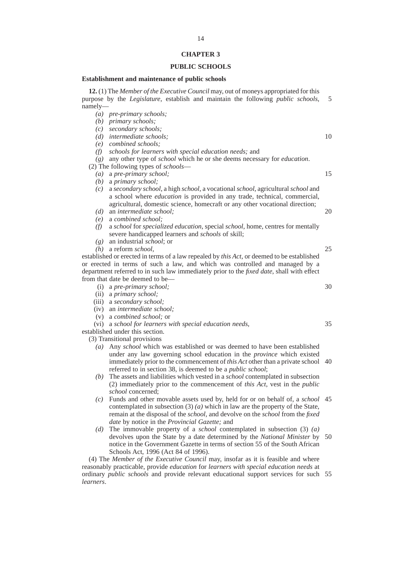## **CHAPTER 3**

## **PUBLIC SCHOOLS**

## **Establishment and maintenance of public schools**

|                                                                                              | <b>12.</b> (1) The <i>Member of the Executive Council</i> may, out of moneys appropriated for this<br>purpose by the Legislature, establish and maintain the following public schools, | 5  |  |  |
|----------------------------------------------------------------------------------------------|----------------------------------------------------------------------------------------------------------------------------------------------------------------------------------------|----|--|--|
| $namely$ —                                                                                   |                                                                                                                                                                                        |    |  |  |
| $\left( a\right)$                                                                            | pre-primary schools;                                                                                                                                                                   |    |  |  |
| (b)                                                                                          | primary schools;                                                                                                                                                                       |    |  |  |
| (c)                                                                                          | secondary schools;                                                                                                                                                                     |    |  |  |
| (d)                                                                                          | <i>intermediate schools;</i>                                                                                                                                                           | 10 |  |  |
| (e)                                                                                          | combined schools:                                                                                                                                                                      |    |  |  |
| (f)                                                                                          | schools for learners with special education needs; and                                                                                                                                 |    |  |  |
| (g)                                                                                          | any other type of <i>school</i> which he or she deems necessary for <i>education</i> .                                                                                                 |    |  |  |
|                                                                                              | (2) The following types of schools—                                                                                                                                                    |    |  |  |
| $\left( a\right)$                                                                            | a pre-primary school;                                                                                                                                                                  | 15 |  |  |
| (b)                                                                                          | a primary school;                                                                                                                                                                      |    |  |  |
| (c)                                                                                          | a secondary school, a high school, a vocational school, agricultural school and                                                                                                        |    |  |  |
|                                                                                              | a school where <i>education</i> is provided in any trade, technical, commercial,                                                                                                       |    |  |  |
|                                                                                              | agricultural, domestic science, homecraft or any other vocational direction;                                                                                                           |    |  |  |
| (d)                                                                                          | an intermediate school;                                                                                                                                                                | 20 |  |  |
|                                                                                              | a combined school:                                                                                                                                                                     |    |  |  |
| (e)                                                                                          |                                                                                                                                                                                        |    |  |  |
| (f)                                                                                          | a school for specialized education, special school, home, centres for mentally                                                                                                         |    |  |  |
|                                                                                              | severe handicapped learners and schools of skill;                                                                                                                                      |    |  |  |
| (g)                                                                                          | an industrial <i>school</i> ; or                                                                                                                                                       |    |  |  |
| (h)                                                                                          | a reform <i>school</i> ,                                                                                                                                                               | 25 |  |  |
|                                                                                              | established or erected in terms of a law repealed by <i>this Act</i> , or deemed to be established                                                                                     |    |  |  |
| or erected in terms of such a law, and which was controlled and managed by a                 |                                                                                                                                                                                        |    |  |  |
|                                                                                              | department referred to in such law immediately prior to the <i>fixed date</i> , shall with effect                                                                                      |    |  |  |
|                                                                                              | from that date be deemed to be—                                                                                                                                                        |    |  |  |
| (i)                                                                                          | a pre-primary school;                                                                                                                                                                  | 30 |  |  |
| (ii)                                                                                         | a primary school;                                                                                                                                                                      |    |  |  |
|                                                                                              | (iii) a secondary school;                                                                                                                                                              |    |  |  |
| (iv)                                                                                         | an <i>intermediate</i> school;                                                                                                                                                         |    |  |  |
|                                                                                              | $(v)$ a <i>combined school</i> ; or                                                                                                                                                    |    |  |  |
| (vi)                                                                                         | a school for learners with special education needs,                                                                                                                                    | 35 |  |  |
|                                                                                              | established under this section.                                                                                                                                                        |    |  |  |
|                                                                                              | (3) Transitional provisions                                                                                                                                                            |    |  |  |
|                                                                                              | (a) Any school which was established or was deemed to have been established                                                                                                            |    |  |  |
|                                                                                              | under any law governing school education in the <i>province</i> which existed                                                                                                          |    |  |  |
|                                                                                              | immediately prior to the commencement of this Act other than a private school                                                                                                          | 40 |  |  |
|                                                                                              | referred to in section 38, is deemed to be a public school;                                                                                                                            |    |  |  |
|                                                                                              | The assets and liabilities which vested in a <i>school</i> contemplated in subsection                                                                                                  |    |  |  |
| (b)                                                                                          |                                                                                                                                                                                        |    |  |  |
|                                                                                              | (2) immediately prior to the commencement of this Act, vest in the public                                                                                                              |    |  |  |
|                                                                                              | <i>school</i> concerned;                                                                                                                                                               |    |  |  |
| (c)                                                                                          | Funds and other movable assets used by, held for or on behalf of, a school 45                                                                                                          |    |  |  |
|                                                                                              | contemplated in subsection (3) $(a)$ which in law are the property of the State,                                                                                                       |    |  |  |
|                                                                                              | remain at the disposal of the <i>school</i> , and devolve on the <i>school</i> from the fixed                                                                                          |    |  |  |
|                                                                                              | date by notice in the Provincial Gazette; and                                                                                                                                          |    |  |  |
|                                                                                              | (d) The immovable property of a <i>school</i> contemplated in subsection $(3)$ $(a)$                                                                                                   |    |  |  |
|                                                                                              | devolves upon the State by a date determined by the National Minister by                                                                                                               | 50 |  |  |
|                                                                                              | notice in the Government Gazette in terms of section 55 of the South African                                                                                                           |    |  |  |
|                                                                                              | Schools Act, 1996 (Act 84 of 1996).                                                                                                                                                    |    |  |  |
|                                                                                              | (4) The <i>Member of the Executive Council</i> may, insofar as it is feasible and where                                                                                                |    |  |  |
|                                                                                              | reasonably practicable, provide <i>education</i> for <i>learners</i> with special education needs at                                                                                   |    |  |  |
| ordinary <i>public schools</i> and provide relevant educational support services for such 55 |                                                                                                                                                                                        |    |  |  |

- 40
- 45
- 50

reasonably practicable, provide *education* for *learners with special education needs* at ordinary *public schools* and provide relevant educational support services for such 55*learners*.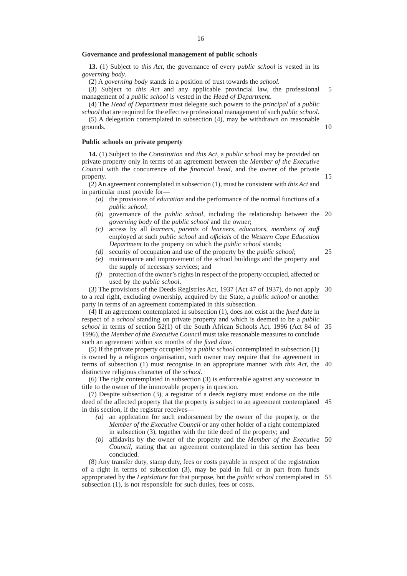#### **Governance and professional management of public schools**

**13.** (1) Subject to *this Act*, the governance of every *public school* is vested in its *governing body*.

(2) A *governing body* stands in a position of trust towards the *school*.

(3) Subject to *this Act* and any applicable provincial law, the professional management of a *public school* is vested in the *Head of Department*. 5

(4) The *Head of Department* must delegate such powers to the *principal* of a *public school* that are required for the effective professional management of such *public school*.

(5) A delegation contemplated in subsection (4), may be withdrawn on reasonable grounds.

#### **Public schools on private property**

**14.** (1) Subject to the *Constitution* and *this Act*, a *public school* may be provided on private property only in terms of an agreement between the *Member of the Executive Council* with the concurrence of the *financial head*, and the owner of the private property.

(2) An agreement contemplated in subsection (1), must be consistent with *this Act* and in particular must provide for—

- *(a)* the provisions of *education* and the performance of the normal functions of a *public school*;
- *(b)* governance of the *public school*, including the relationship between the 20 *governing body* of the *public school* and the owner;
- *(c)* access by all *learners*, *parents* of *learners*, *educators*, *members of staff* employed at such *public school* and *offıcials* of the *Western Cape Education Department* to the property on which the *public school* stands;
- *(d)* security of occupation and use of the property by the *public school*;
- *(e)* maintenance and improvement of the school buildings and the property and the supply of necessary services; and
- *(f)* protection of the owner's rights in respect of the property occupied, affected or used by the *public school*.

(3) The provisions of the Deeds Registries Act, 1937 (Act 47 of 1937), do not apply 30 to a real right, excluding ownership, acquired by the State, a *public school* or another party in terms of an agreement contemplated in this subsection.

(4) If an agreement contemplated in subsection (1), does not exist at the *fixed date* in respect of a *school* standing on private property and which is deemed to be a *public school* in terms of section 52(1) of the South African Schools Act, 1996 (Act 84 of 35 1996), the *Member of the Executive Council* must take reasonable measures to conclude such an agreement within six months of the *fixed date*.

(5) If the private property occupied by a *public school* contemplated in subsection (1) is owned by a religious organisation, such owner may require that the agreement in terms of subsection (1) must recognise in an appropriate manner with *this Act*, the 40 distinctive religious character of the *school*.

(6) The right contemplated in subsection (3) is enforceable against any successor in title to the owner of the immovable property in question.

(7) Despite subsection (3), a registrar of a deeds registry must endorse on the title deed of the affected property that the property is subject to an agreement contemplated 45 in this section, if the registrar receives—

- *(a)* an application for such endorsement by the owner of the property, or the *Member of the Executive Council* or any other holder of a right contemplated in subsection (3), together with the title deed of the property; and
- *(b)* affidavits by the owner of the property and the *Member of the Executive* 50 *Council*, stating that an agreement contemplated in this section has been concluded.

(8) Any transfer duty, stamp duty, fees or costs payable in respect of the registration of a right in terms of subsection (3), may be paid in full or in part from funds appropriated by the *Legislature* for that purpose, but the *public school* contemplated in 55subsection (1), is not responsible for such duties, fees or costs.

15

25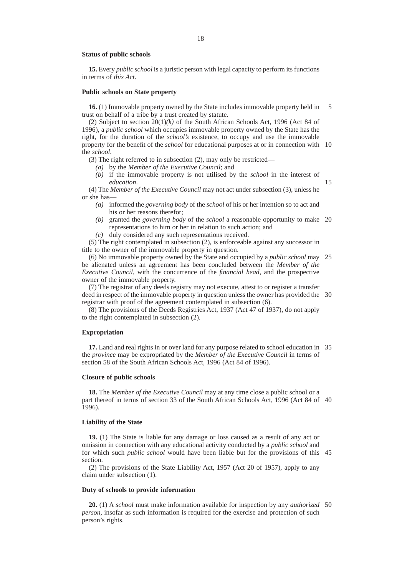#### **Status of public schools**

**15.** Every *public school* is a juristic person with legal capacity to perform its functions in terms of *this Act*.

#### **Public schools on State property**

**16.** (1) Immovable property owned by the State includes immovable property held in trust on behalf of a tribe by a trust created by statute. 5

(2) Subject to section  $20(1)/k$  of the South African Schools Act, 1996 (Act 84 of 1996), a *public school* which occupies immovable property owned by the State has the right, for the duration of the *school's* existence, to occupy and use the immovable property for the benefit of the *school* for educational purposes at or in connection with 10 the *school*.

(3) The right referred to in subsection (2), may only be restricted—

- *(a)* by the *Member of the Executive Council*; and
- *(b)* if the immovable property is not utilised by the *school* in the interest of *education*.

15

(4) The *Member of the Executive Council* may not act under subsection (3), unless he or she has—

- *(a)* informed the *governing body* of the *school* of his or her intention so to act and his or her reasons therefor;
- *(b)* granted the *governing body* of the *school* a reasonable opportunity to make 20 representations to him or her in relation to such action; and
- *(c)* duly considered any such representations received.

(5) The right contemplated in subsection (2), is enforceable against any successor in title to the owner of the immovable property in question.

(6) No immovable property owned by the State and occupied by a *public school* may 25 be alienated unless an agreement has been concluded between the *Member of the Executive Council*, with the concurrence of the *financial head*, and the prospective owner of the immovable property.

(7) The registrar of any deeds registry may not execute, attest to or register a transfer deed in respect of the immovable property in question unless the owner has provided the 30 registrar with proof of the agreement contemplated in subsection (6).

(8) The provisions of the Deeds Registries Act, 1937 (Act 47 of 1937), do not apply to the right contemplated in subsection (2).

#### **Expropriation**

**17.** Land and real rights in or over land for any purpose related to school education in 35 the *province* may be expropriated by the *Member of the Executive Council* in terms of section 58 of the South African Schools Act, 1996 (Act 84 of 1996).

#### **Closure of public schools**

**18.** The *Member of the Executive Council* may at any time close a public school or a part thereof in terms of section 33 of the South African Schools Act, 1996 (Act 84 of 40 1996).

### **Liability of the State**

**19.** (1) The State is liable for any damage or loss caused as a result of any act or omission in connection with any educational activity conducted by a *public school* and for which such *public school* would have been liable but for the provisions of this 45 section.

(2) The provisions of the State Liability Act, 1957 (Act 20 of 1957), apply to any claim under subsection (1).

## **Duty of schools to provide information**

**20.** (1) A *school* must make information available for inspection by any *authorized* 50*person*, insofar as such information is required for the exercise and protection of such person's rights.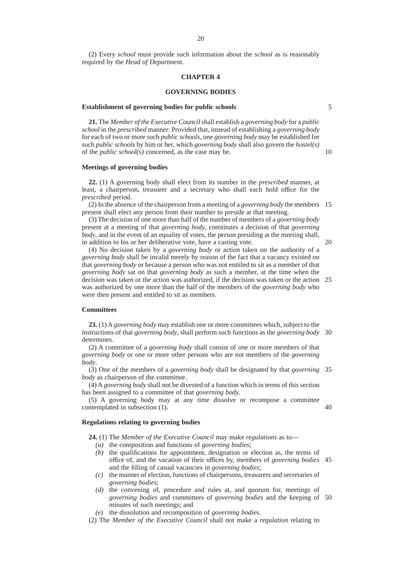(2) Every *school* must provide such information about the *school* as is reasonably required by the *Head of Department*.

#### **CHAPTER 4**

#### **GOVERNING BODIES**

#### **Establishment of governing bodies for public schools**

**21.** The *Member of the Executive Council*shall establish a *governing body* for a *public school* in the *prescribed* manner: Provided that, instead of establishing a *governing body* for each of two or more such *public schools*, one *governing body* may be established for such *public schools* by him or her, which *governing body* shall also govern the *hostel(s)* of the *public school(s)* concerned, as the case may be.

#### **Meetings of governing bodies**

**22.** (1) A governing body shall elect from its number in the *prescribed* manner, at least, a chairperson, treasurer and a secretary who shall each hold office for the *prescribed* period.

(2) In the absence of the chairperson from a meeting of a *governing body* the members 15 present shall elect any person from their number to preside at that meeting.

(3) The decision of one more than half of the number of members of a *governing body* present at a meeting of that *governing body*, constitutes a decision of that *governing body*, and in the event of an equality of votes, the person presiding at the meeting shall, in addition to his or her deliberative vote, have a casting vote.

(4) No decision taken by a *governing body* or action taken on the authority of a *governing body* shall be invalid merely by reason of the fact that a vacancy existed on that *governing body* or because a person who was not entitled to sit as a member of that *governing body* sat on that *governing body* as such a member, at the time when the decision was taken or the action was authorized, if the decision was taken or the action 25 was authorized by one more than the half of the members of the *governing body* who were then present and entitled to sit as members.

#### **Committees**

**23.** (1) A *governing body* may establish one or more committees which, subject to the instructions of that *governing body*, shall perform such functions as the *governing body* 30 determines.

(2) A committee of a *governing body* shall consist of one or more members of that *governing body* or one or more other persons who are not members of the *governing body*.

(3) One of the members of a *governing body* shall be designated by that *governing* 35 *body* as chairperson of the committee.

(4) A *governing body* shall not be divested of a function which in terms of this section has been assigned to a committee of that *governing body*.

(5) A governing body may at any time dissolve or recompose a committee contemplated in subsection (1). 40

#### **Regulations relating to governing bodies**

**24.** (1) The *Member of the Executive Council* may make *regulations* as to—

- *(a)* the composition and functions of *governing bodies*;
- *(b)* the qualifications for appointment, designation or election as, the terms of office of, and the vacation of their offices by, members of *governing bodies* 45 and the filling of casual vacancies in *governing bodies*;
- *(c)* the manner of election, functions of chairpersons, treasurers and secretaries of *governing bodies*;
- *(d)* the convening of, procedure and rules at, and quorum for, meetings of *governing bodies* and committees of *governing bodies* and the keeping of 50minutes of such meetings; and
- *(e)* the dissolution and recomposition of *governing bodies*.

(2) The *Member of the Executive Council* shall not make a *regulation* relating to

5

10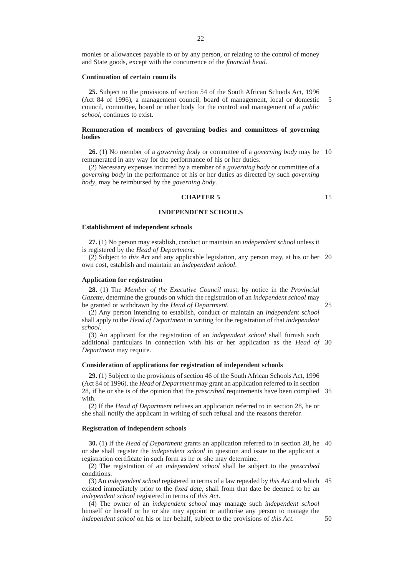monies or allowances payable to or by any person, or relating to the control of money and State goods, except with the concurrence of the *financial head*.

#### **Continuation of certain councils**

**25.** Subject to the provisions of section 54 of the South African Schools Act, 1996 (Act 84 of 1996), a management council, board of management, local or domestic council, committee, board or other body for the control and management of a *public school*, continues to exist. 5

#### **Remuneration of members of governing bodies and committees of governing bodies**

**26.** (1) No member of a *governing body* or committee of a *governing body* may be 10 remunerated in any way for the performance of his or her duties.

(2) Necessary expenses incurred by a member of a *governing body* or committee of a *governing body* in the performance of his or her duties as directed by such *governing body*, may be reimbursed by the *governing body*.

#### **CHAPTER 5**

#### **INDEPENDENT SCHOOLS**

#### **Establishment of independent schools**

**27.** (1) No person may establish, conduct or maintain an *independent school* unless it is registered by the *Head of Department*.

(2) Subject to *this Act* and any applicable legislation, any person may, at his or her 20 own cost, establish and maintain an *independent school*.

#### **Application for registration**

**28.** (1) The *Member of the Executive Council* must, by notice in the *Provincial Gazette*, determine the grounds on which the registration of an *independent school* may be granted or withdrawn by the *Head of Department*.

25

15

(2) Any person intending to establish, conduct or maintain an *independent school* shall apply to the *Head of Department* in writing for the registration of that *independent school*.

(3) An applicant for the registration of an *independent school* shall furnish such additional particulars in connection with his or her application as the *Head of* 30 *Department* may require.

#### **Consideration of applications for registration of independent schools**

**29.** (1) Subject to the provisions of section 46 of the South African Schools Act, 1996 (Act 84 of 1996), the *Head of Department* may grant an application referred to in section 28, if he or she is of the opinion that the *prescribed* requirements have been complied 35 with.

(2) If the *Head of Department* refuses an application referred to in section 28, he or she shall notify the applicant in writing of such refusal and the reasons therefor.

#### **Registration of independent schools**

**30.** (1) If the *Head of Department* grants an application referred to in section 28, he 40 or she shall register the *independent school* in question and issue to the applicant a registration certificate in such form as he or she may determine.

(2) The registration of an *independent school* shall be subject to the *prescribed* conditions.

(3) An *independent school* registered in terms of a law repealed by *this Act* and which 45 existed immediately prior to the *fixed date*, shall from that date be deemed to be an *independent school* registered in terms of *this Act*.

(4) The owner of an *independent school* may manage such *independent school* himself or herself or he or she may appoint or authorise any person to manage the *independent school* on his or her behalf, subject to the provisions of *this Act*.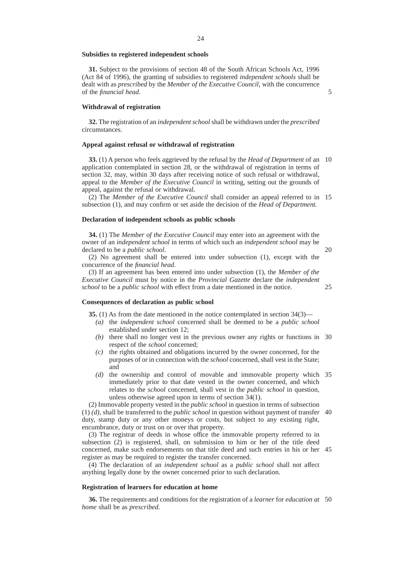#### **Subsidies to registered independent schools**

**31.** Subject to the provisions of section 48 of the South African Schools Act, 1996 (Act 84 of 1996), the granting of subsidies to registered *independent schools* shall be dealt with as *prescribed* by the *Member of the Executive Council*, with the concurrence of the *financial head*.

**Withdrawal of registration**

**32.** The registration of an *independent school*shall be withdrawn under the *prescribed* circumstances.

#### **Appeal against refusal or withdrawal of registration**

**33.** (1) A person who feels aggrieved by the refusal by the *Head of Department* of an 10 application contemplated in section 28, or the withdrawal of registration in terms of section 32, may, within 30 days after receiving notice of such refusal or withdrawal, appeal to the *Member of the Executive Council* in writing, setting out the grounds of appeal, against the refusal or withdrawal.

(2) The *Member of the Executive Council* shall consider an appeal referred to in 15 subsection (1), and may confirm or set aside the decision of the *Head of Department.*

#### **Declaration of independent schools as public schools**

**34.** (1) The *Member of the Executive Council* may enter into an agreement with the owner of an *independent school* in terms of which such an *independent school* may be declared to be a *public school*.

20

(2) No agreement shall be entered into under subsection (1), except with the concurrence of the *financial head*.

(3) If an agreement has been entered into under subsection (1), the *Member of the Executive Council* must by notice in the *Provincial Gazette* declare the *independent school* to be a *public school* with effect from a date mentioned in the notice.

25

#### **Consequences of declaration as public school**

**35.** (1) As from the date mentioned in the notice contemplated in section 34(3)—

- *(a)* the *independent school* concerned shall be deemed to be a *public school* established under section 12;
- *(b)* there shall no longer vest in the previous owner any rights or functions in 30 respect of the *school* concerned;
- *(c)* the rights obtained and obligations incurred by the owner concerned, for the purposes of or in connection with the *school* concerned, shall vest in the State; and
- *(d)* the ownership and control of movable and immovable property which 35 immediately prior to that date vested in the owner concerned, and which relates to the *school* concerned, shall vest in the *public school* in question, unless otherwise agreed upon in terms of section 34(1).

(2) Immovable property vested in the *public school* in question in terms of subsection (1) *(d)*, shall be transferred to the *public school* in question without payment of transfer 40 duty, stamp duty or any other moneys or costs, but subject to any existing right, encumbrance, duty or trust on or over that property.

(3) The registrar of deeds in whose office the immovable property referred to in subsection (2) is registered, shall, on submission to him or her of the title deed concerned, make such endorsements on that title deed and such entries in his or her 45 register as may be required to register the transfer concerned.

(4) The declaration of an *independent school* as a *public school* shall not affect anything legally done by the owner concerned prior to such declaration.

#### **Registration of learners for education at home**

**36.** The requirements and conditions for the registration of a *learner* for *education at* 50*home* shall be as *prescribed*.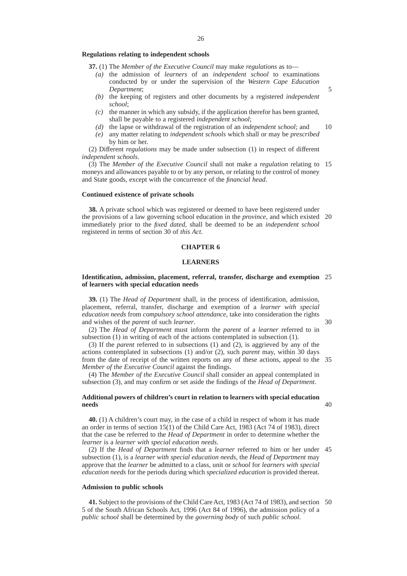#### **Regulations relating to independent schools**

**37.** (1) The *Member of the Executive Council* may make *regulations* as to—

- *(a)* the admission of *learners* of an *independent school* to examinations conducted by or under the supervision of the *Western Cape Education Department*;
- *(b)* the keeping of registers and other documents by a registered *independent school*;
- *(c)* the manner in which any subsidy, if the application therefor has been granted, shall be payable to a registered *independent school*;
- *(d)* the lapse or withdrawal of the registration of an *independent school*; and 10
- *(e)* any matter relating to *independent schools* which shall or may be *prescribed* by him or her.

(2) Different *regulations* may be made under subsection (1) in respect of different *independent schools*.

(3) The *Member of the Executive Council* shall not make a *regulation* relating to 15 moneys and allowances payable to or by any person, or relating to the control of money and State goods, except with the concurrence of the *financial head*.

#### **Continued existence of private schools**

**38.** A private school which was registered or deemed to have been registered under the provisions of a law governing school education in the *province*, and which existed 20 immediately prior to the *fixed dated*, shall be deemed to be an *independent school* registered in terms of section 30 of *this Act*.

#### **CHAPTER 6**

#### **LEARNERS**

#### **Identification, admission, placement, referral, transfer, discharge and exemption** 25 **of learners with special education needs**

**39.** (1) The *Head of Department* shall, in the process of identification, admission, placement, referral, transfer, discharge and exemption of a *learner with special education needs* from *compulsory school attendance*, take into consideration the rights and wishes of the *parent* of such *learner*.

(2) The *Head of Department* must inform the *parent* of a *learner* referred to in subsection (1) in writing of each of the actions contemplated in subsection (1).

(3) If the *parent* referred to in subsections (1) and (2), is aggrieved by any of the actions contemplated in subsections (1) and/or (2), such *parent* may, within 30 days from the date of receipt of the written reports on any of these actions, appeal to the 35 *Member of the Executive Council* against the findings.

(4) The *Member of the Executive Council* shall consider an appeal contemplated in subsection (3), and may confirm or set aside the findings of the *Head of Department*.

#### **Additional powers of children's court in relation to learners with special education needs**

**40.** (1) A children's court may, in the case of a child in respect of whom it has made an order in terms of section 15(1) of the Child Care Act, 1983 (Act 74 of 1983), direct that the case be referred to the *Head of Department* in order to determine whether the *learner* is a *learner with special education needs*.

(2) If the *Head of Department* finds that a *learner* referred to him or her under 45 subsection (1), is a *learner with special education needs*, the *Head of Department* may approve that the *learner* be admitted to a class, unit or *school* for *learners with special education needs* for the periods during which *specialized education* is provided thereat.

#### **Admission to public schools**

**41.** Subject to the provisions of the Child Care Act, 1983 (Act 74 of 1983), and section 505 of the South African Schools Act, 1996 (Act 84 of 1996), the admission policy of a *public school* shall be determined by the *governing body* of such *public school*.

30

5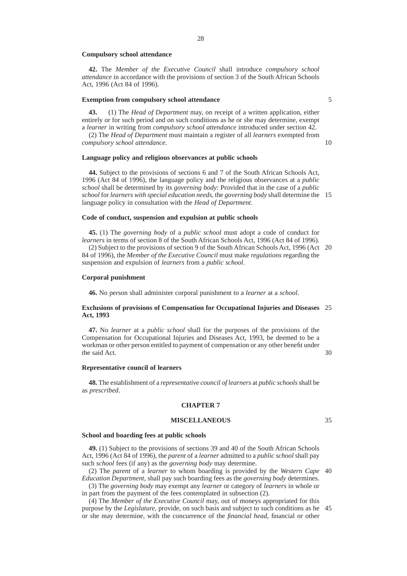#### **Compulsory school attendance**

**42.** The *Member of the Executive Council* shall introduce *compulsory school attendance* in accordance with the provisions of section 3 of the South African Schools Act, 1996 (Act 84 of 1996).

#### **Exemption from compulsory school attendance**

**43.** (1) The *Head of Department* may, on receipt of a written application, either entirely or for such period and on such conditions as he or she may determine, exempt a *learner* in writing from *compulsory school attendance* introduced under section 42.

(2) The *Head of Department* must maintain a register of all *learners* exempted from *compulsory school attendance*.

#### **Language policy and religious observances at public schools**

**44.** Subject to the provisions of sections 6 and 7 of the South African Schools Act, 1996 (Act 84 of 1996), the language policy and the religious observances at a *public school* shall be determined by its *governing body*: Provided that in the case of a *public school* for *learners with special education needs*, the *governing body* shall determine the 15 language policy in consultation with the *Head of Department*.

#### **Code of conduct, suspension and expulsion at public schools**

**45.** (1) The *governing body* of a *public school* must adopt a code of conduct for *learners* in terms of section 8 of the South African Schools Act, 1996 (Act 84 of 1996).

(2) Subject to the provisions of section 9 of the South African Schools Act, 1996 (Act 20 84 of 1996), the *Member of the Executive Council* must make *regulations* regarding the suspension and expulsion of *learners* from a *public school*.

#### **Corporal punishment**

**46.** No person shall administer corporal punishment to a *learner* at a *school*.

#### **Exclusions of provisions of Compensation for Occupational Injuries and Diseases** 25 **Act, 1993**

**47.** No *learner* at a *public school* shall for the purposes of the provisions of the Compensation for Occupational Injuries and Diseases Act, 1993, be deemed to be a workman or other person entitled to payment of compensation or any other benefit under the said Act.

#### **Representative council of learners**

**48.** The establishment of a *representative council of learners* at *public schools*shall be as *prescribed*.

#### **CHAPTER 7**

#### **MISCELLANEOUS**

35

30

### **School and boarding fees at public schools**

**49.** (1) Subject to the provisions of sections 39 and 40 of the South African Schools Act, 1996 (Act 84 of 1996), the *parent* of a *learner* admitted to a *public school* shall pay such *school* fees (if any) as the *governing body* may determine.

(2) The *parent* of a *learner* to whom boarding is provided by the *Western Cape* 40 *Education Department*, shall pay such boarding fees as the *governing body* determines.

(3) The *governing body* may exempt any *learner* or category of *learners* in whole or in part from the payment of the fees contemplated in subsection (2).

(4) The *Member of the Executive Council* may, out of moneys appropriated for this purpose by the *Legislature*, provide, on such basis and subject to such conditions as he 45or she may determine, with the concurrence of the *financial head*, financial or other

5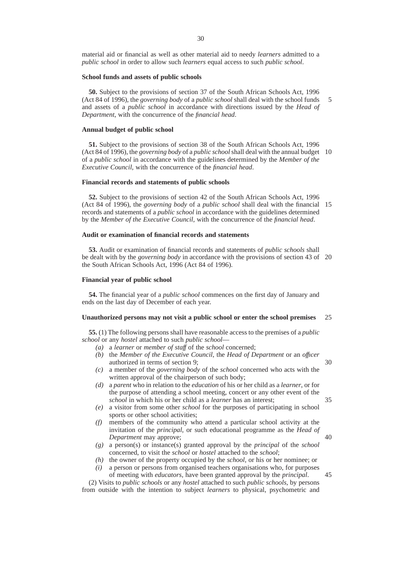material aid or financial as well as other material aid to needy *learners* admitted to a *public school* in order to allow such *learners* equal access to such *public school*.

#### **School funds and assets of public schools**

**50.** Subject to the provisions of section 37 of the South African Schools Act, 1996 (Act 84 of 1996), the *governing body* of a *public school* shall deal with the school funds and assets of a *public school* in accordance with directions issued by the *Head of Department*, with the concurrence of the *financial head*. 5

#### **Annual budget of public school**

**51.** Subject to the provisions of section 38 of the South African Schools Act, 1996 (Act 84 of 1996), the *governing body* of a *public school*shall deal with the annual budget 10 of a *public school* in accordance with the guidelines determined by the *Member of the Executive Council*, with the concurrence of the *financial head*.

#### **Financial records and statements of public schools**

**52.** Subject to the provisions of section 42 of the South African Schools Act, 1996 (Act 84 of 1996), the *governing body* of a *public school* shall deal with the financial 15 records and statements of a *public school* in accordance with the guidelines determined by the *Member of the Executive Council*, with the concurrence of the *financial head*.

#### **Audit or examination of financial records and statements**

**53.** Audit or examination of financial records and statements of *public schools* shall be dealt with by the *governing body* in accordance with the provisions of section 43 of 20 the South African Schools Act, 1996 (Act 84 of 1996).

#### **Financial year of public school**

**54.** The financial year of a *public school* commences on the first day of January and ends on the last day of December of each year.

#### **Unauthorized persons may not visit a public school or enter the school premises** 25

**55.** (1) The following persons shall have reasonable access to the premises of a *public school* or any *hostel* attached to such *public school*—

- *(a)* a *learner* or *member of staff* of the *school* concerned;
- *(b)* the *Member of the Executive Council*, the *Head of Department* or an *offıcer* authorized in terms of section 9;
- *(c)* a member of the *governing body* of the *school* concerned who acts with the written approval of the chairperson of such body;
- *(d)* a *parent* who in relation to the *education* of his or her child as a *learner*, or for the purpose of attending a school meeting, concert or any other event of the *school* in which his or her child as a *learner* has an interest;
- *(e)* a visitor from some other *school* for the purposes of participating in school sports or other school activities;
- *(f)* members of the community who attend a particular school activity at the invitation of the *principal*, or such educational programme as the *Head of Department* may approve;
- *(g)* a person(s) or instance(s) granted approval by the *principal* of the *school* concerned, to visit the *school* or *hostel* attached to the *school*;
- *(h)* the owner of the property occupied by the *school*, or his or her nominee; or
- *(i)* a person or persons from organised teachers organisations who, for purposes of meeting with *educators*, have been granted approval by the *principal*.

(2) Visits to *public schools* or any *hostel* attached to such *public schools*, by persons from outside with the intention to subject *learners* to physical, psychometric and

40

35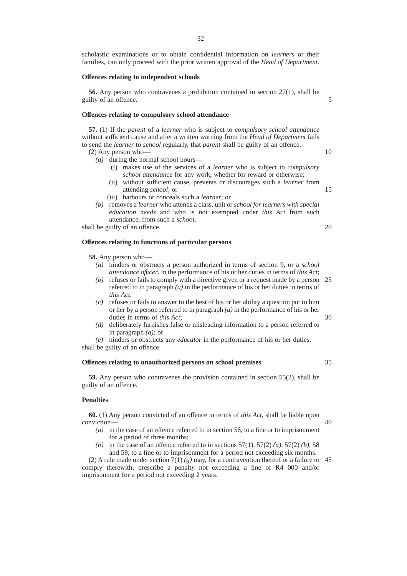scholastic examinations or to obtain confidential information on *learners* or their families, can only proceed with the prior written approval of the *Head of Department*.

#### **Offences relating to independent schools**

**56.** Any person who contravenes a prohibition contained in section 27(1), shall be guilty of an offence.

#### **Offences relating to compulsory school attendance**

**57.** (1) If the *parent* of a *learner* who is subject to *compulsory school attendance* without sufficient cause and after a written warning from the *Head of Department* fails to send the *learner* to *school* regularly, that *parent* shall be guilty of an offence.

- (2) Any person who—
	- *(a)* during the normal school hours—
		- (i) makes use of the services of a *learner* who is subject to *compulsory school attendance* for any work, whether for reward or otherwise;
		- (ii) without sufficient cause, prevents or discourages such a *learner* from attending *school*; or
		- (iii) harbours or conceals such a *learner*; or
	- *(b)* removes a *learner* who attends a class, unit or *school for learners with special education needs* and who is not exempted under *this Act* from such attendance, from such a *school*,

shall be guilty of an offence.

#### **Offences relating to functions of particular persons**

**58.** Any person who—

- *(a)* hinders or obstructs a person authorized in terms of section 9, or a *school attendance offıcer*, in the performance of his or her duties in terms of *this Act*;
- *(b)* refuses or fails to comply with a directive given or a request made by a person 25 referred to in paragraph *(a)* in the performance of his or her duties in terms of *this Act*;
- *(c)* refuses or fails to answer to the best of his or her ability a question put to him or her by a person referred to in paragraph *(a)* in the performance of his or her duties in terms of *this Act*;
- *(d)* deliberately furnishes false or misleading information to a person referred to in paragraph *(a)*; or

*(e)* hinders or obstructs any *educator* in the performance of his or her duties, shall be guilty of an offence.

#### **Offences relating to unauthorized persons on school premises**

**59.** Any person who contravenes the provision contained in section 55(2), shall be guilty of an offence.

#### **Penalties**

**60.** (1) Any person convicted of an offence in terms of *this Act*, shall be liable upon conviction—

- *(a)* in the case of an offence referred to in section 56, to a fine or to imprisonment for a period of three months;
- *(b)* in the case of an offence referred to in sections 57(1), 57(2) *(a)*, 57(2) *(b)*, 58 and 59, to a fine or to imprisonment for a period not exceeding six months.

(2) A rule made under section  $7(1)$  (g) may, for a contravention thereof or a failure to 45 comply therewith, prescribe a penalty not exceeding a fine of R4 000 and/or imprisonment for a period not exceeding 2 years.

35

40

30

10

5

15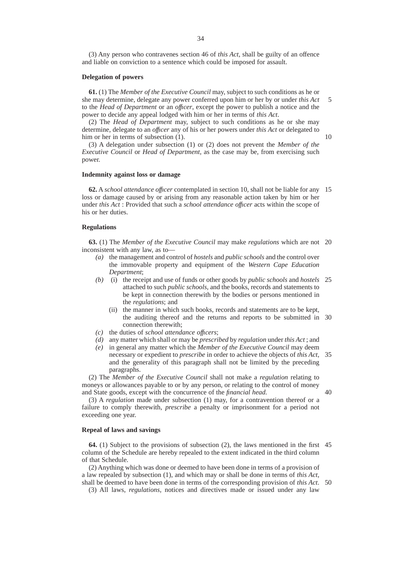(3) Any person who contravenes section 46 of *this Act*, shall be guilty of an offence and liable on conviction to a sentence which could be imposed for assault.

#### **Delegation of powers**

**61.** (1) The *Member of the Executive Council* may, subject to such conditions as he or she may determine, delegate any power conferred upon him or her by or under *this Act* to the *Head of Department* or an *offıcer*, except the power to publish a notice and the power to decide any appeal lodged with him or her in terms of *this Act*. 5

(2) The *Head of Department* may, subject to such conditions as he or she may determine, delegate to an *offıcer* any of his or her powers under *this Act* or delegated to him or her in terms of subsection (1).

10

40

(3) A delegation under subsection (1) or (2) does not prevent the *Member of the Executive Council* or *Head of Department*, as the case may be, from exercising such power.

#### **Indemnity against loss or damage**

**62.** A *school attendance offıcer* contemplated in section 10, shall not be liable for any 15 loss or damage caused by or arising from any reasonable action taken by him or her under *this Act* : Provided that such a *school attendance offıcer* acts within the scope of his or her duties.

#### **Regulations**

**63.** (1) The *Member of the Executive Council* may make *regulations* which are not 20 inconsistent with any law, as to—

- *(a)* the management and control of *hostels* and *public schools* and the control over the immovable property and equipment of the *Western Cape Education Department*;
- *(b)* (i) the receipt and use of funds or other goods by *public schools* and *hostels* 25 attached to such *public schools,* and the books, records and statements to be kept in connection therewith by the bodies or persons mentioned in the *regulations*; and
	- (ii) the manner in which such books, records and statements are to be kept, the auditing thereof and the returns and reports to be submitted in 30 connection therewith;
- *(c)* the duties of *school attendance offıcers*;
- *(d)* any matter which shall or may be *prescribed* by *regulation* under *this Act* ; and
- *(e)* in general any matter which the *Member of the Executive Council* may deem necessary or expedient to *prescribe* in order to achieve the objects of *this Act*, 35 and the generality of this paragraph shall not be limited by the preceding paragraphs.

(2) The *Member of the Executive Council* shall not make a *regulation* relating to moneys or allowances payable to or by any person, or relating to the control of money and State goods, except with the concurrence of the *financial head.*

(3) A *regulation* made under subsection (1) may, for a contravention thereof or a failure to comply therewith, *prescribe* a penalty or imprisonment for a period not exceeding one year.

#### **Repeal of laws and savings**

**64.** (1) Subject to the provisions of subsection (2), the laws mentioned in the first 45 column of the Schedule are hereby repealed to the extent indicated in the third column of that Schedule.

(2) Anything which was done or deemed to have been done in terms of a provision of a law repealed by subsection (1), and which may or shall be done in terms of *this Act*, shall be deemed to have been done in terms of the corresponding provision of *this Act*. 50

(3) All laws, *regulations*, notices and directives made or issued under any law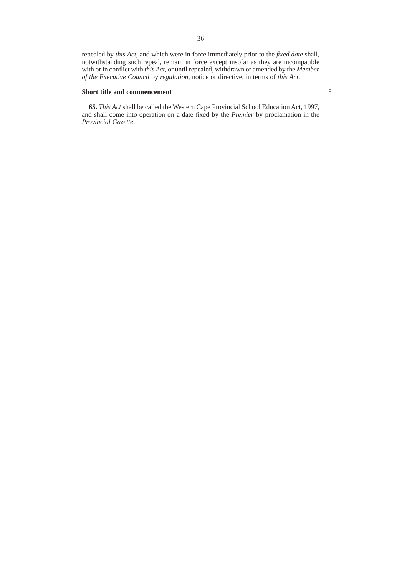repealed by *this Act*, and which were in force immediately prior to the *fixed date* shall, notwithstanding such repeal, remain in force except insofar as they are incompatible with or in conflict with *this Act*, or until repealed, withdrawn or amended by the *Member of the Executive Council* by *regulation*, notice or directive, in terms of *this Act*.

#### **Short title and commencement**

**65.** *This Act* shall be called the Western Cape Provincial School Education Act, 1997, and shall come into operation on a date fixed by the *Premier* by proclamation in the *Provincial Gazette*.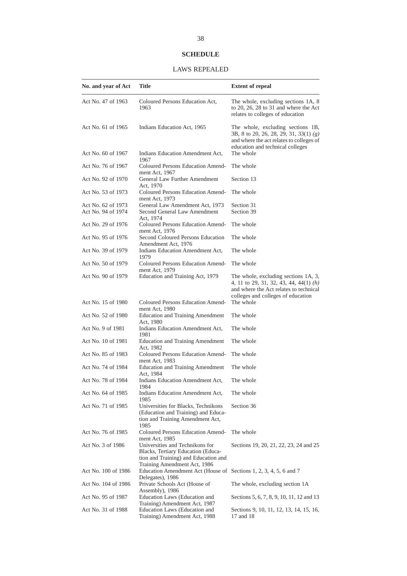## **SCHEDULE**

## LAWS REPEALED

| No. and year of Act                      | Title                                                                                                                                                           | <b>Extent of repeal</b>                                                                                                                                        |
|------------------------------------------|-----------------------------------------------------------------------------------------------------------------------------------------------------------------|----------------------------------------------------------------------------------------------------------------------------------------------------------------|
| Act No. 47 of 1963                       | Coloured Persons Education Act,<br>1963                                                                                                                         | The whole, excluding sections 1A, 8<br>to 20, 26, 28 to 31 and where the Act<br>relates to colleges of education                                               |
| Act No. 61 of 1965                       | Indians Education Act, 1965                                                                                                                                     | The whole, excluding sections 1B,<br>3B, 8 to 20, 26, 28, 29, 31, 33(1) (g)<br>and where the act relates to colleges of<br>education and technical colleges    |
| Act No. 60 of 1967                       | Indians Education Amendment Act,<br>1967                                                                                                                        | The whole                                                                                                                                                      |
| Act No. 76 of 1967                       | Coloured Persons Education Amend-<br>ment Act, 1967                                                                                                             | The whole                                                                                                                                                      |
| Act No. 92 of 1970                       | General Law Further Amendment<br>Act, 1970                                                                                                                      | Section 13                                                                                                                                                     |
| Act No. 53 of 1973                       | Coloured Persons Education Amend-<br>ment Act, 1973                                                                                                             | The whole                                                                                                                                                      |
| Act No. 62 of 1973<br>Act No. 94 of 1974 | General Law Amendment Act, 1973<br>Second General Law Amendment<br>Act, 1974                                                                                    | Section 31<br>Section 39                                                                                                                                       |
| Act No. 29 of 1976                       | Coloured Persons Education Amend-<br>ment Act, 1976                                                                                                             | The whole                                                                                                                                                      |
| Act No. 95 of 1976                       | Second Coloured Persons Education<br>Amendment Act, 1976                                                                                                        | The whole                                                                                                                                                      |
| Act No. 39 of 1979                       | Indians Education Amendment Act,<br>1979                                                                                                                        | The whole                                                                                                                                                      |
| Act No. 50 of 1979                       | Coloured Persons Education Amend-<br>ment Act, 1979                                                                                                             | The whole                                                                                                                                                      |
| Act No. 90 of 1979                       | Education and Training Act, 1979                                                                                                                                | The whole, excluding sections 1A, 3,<br>4, 11 to 29, 31, 32, 43, 44, 44(1) (h)<br>and where the Act relates to technical<br>colleges and colleges of education |
| Act No. 15 of 1980                       | Coloured Persons Education Amend-<br>ment Act, 1980                                                                                                             | The whole                                                                                                                                                      |
| Act No. 52 of 1980                       | <b>Education and Training Amendment</b><br>Act, 1980                                                                                                            | The whole                                                                                                                                                      |
| Act No. 9 of 1981                        | Indians Education Amendment Act,<br>1981                                                                                                                        | The whole                                                                                                                                                      |
| Act No. 10 of 1981                       | <b>Education and Training Amendment</b><br>Act, 1982                                                                                                            | The whole                                                                                                                                                      |
| Act No. 85 of 1983                       | Coloured Persons Education Amend-<br>ment Act, 1983                                                                                                             | The whole                                                                                                                                                      |
| Act No. 74 of 1984                       | <b>Education and Training Amendment</b><br>Act, 1984                                                                                                            | The whole                                                                                                                                                      |
| Act No. 78 of 1984                       | Indians Education Amendment Act,<br>1984                                                                                                                        | The whole                                                                                                                                                      |
| Act No. 64 of 1985                       | Indians Education Amendment Act,<br>1985                                                                                                                        | The whole                                                                                                                                                      |
| Act No. 71 of 1985                       | Universities for Blacks, Technikons<br>(Education and Training) and Educa-<br>tion and Training Amendment Act,<br>1985                                          | Section 36                                                                                                                                                     |
| Act No. 76 of 1985                       | Coloured Persons Education Amend-                                                                                                                               | The whole                                                                                                                                                      |
| Act No. 3 of 1986                        | ment Act, 1985<br>Universities and Technikons for<br>Blacks, Tertiary Education (Educa-<br>tion and Training) and Education and<br>Training Amendment Act, 1986 | Sections 19, 20, 21, 22, 23, 24 and 25                                                                                                                         |
| Act No. 100 of 1986                      | Education Amendment Act (House of Sections 1, 2, 3, 4, 5, 6 and 7<br>Delegates), 1986                                                                           |                                                                                                                                                                |
| Act No. 104 of 1986                      | Private Schools Act (House of<br>Assembly), 1986                                                                                                                | The whole, excluding section 1A                                                                                                                                |
| Act No. 95 of 1987                       | Education Laws (Education and<br>Training) Amendment Act, 1987                                                                                                  | Sections 5, 6, 7, 8, 9, 10, 11, 12 and 13                                                                                                                      |
| Act No. 31 of 1988                       | Education Laws (Education and<br>Training) Amendment Act, 1988                                                                                                  | Sections 9, 10, 11, 12, 13, 14, 15, 16,<br>17 and 18                                                                                                           |